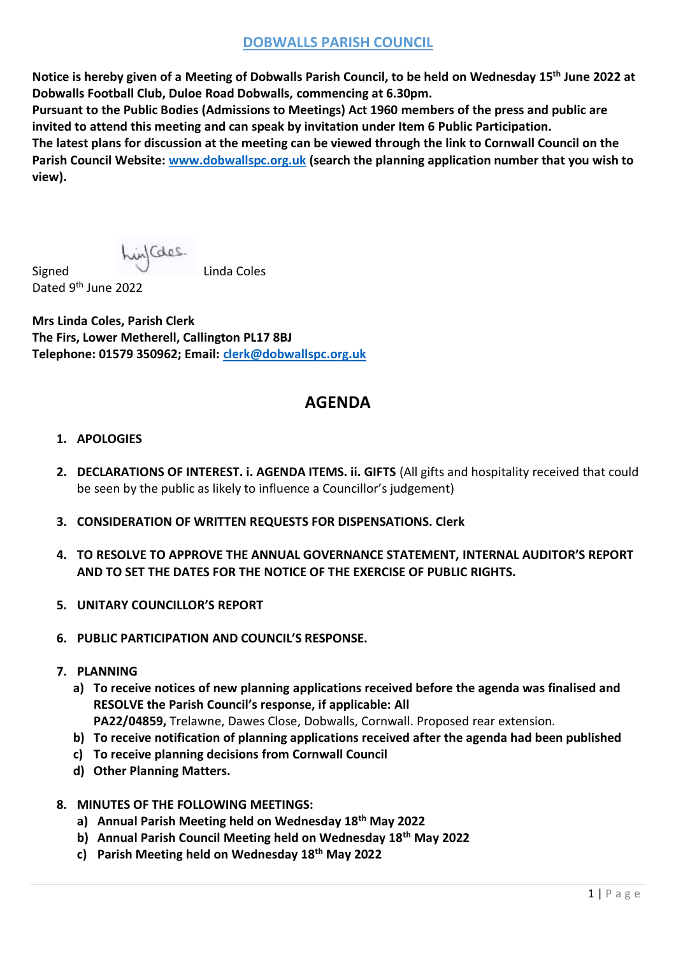## **DOBWALLS PARISH COUNCIL**

**Notice is hereby given of a Meeting of Dobwalls Parish Council, to be held on Wednesday 15th June 2022 at Dobwalls Football Club, Duloe Road Dobwalls, commencing at 6.30pm.**

**Pursuant to the Public Bodies (Admissions to Meetings) Act 1960 members of the press and public are invited to attend this meeting and can speak by invitation under Item 6 Public Participation.**

**The latest plans for discussion at the meeting can be viewed through the link to Cornwall Council on the Parish Council Website: [www.dobwallspc.org.uk](http://www.dobwallspc.org.uk/) (search the planning application number that you wish to view).**

Signed **Linda Coles** Dated 9<sup>th</sup> June 2022

**Mrs Linda Coles, Parish Clerk The Firs, Lower Metherell, Callington PL17 8BJ Telephone: 01579 350962; Email: clerk@dobwallspc.org.uk**

# **AGENDA**

## **1. APOLOGIES**

- **2. DECLARATIONS OF INTEREST. i. AGENDA ITEMS. ii. GIFTS** (All gifts and hospitality received that could be seen by the public as likely to influence a Councillor's judgement)
- **3. CONSIDERATION OF WRITTEN REQUESTS FOR DISPENSATIONS. Clerk**
- **4. TO RESOLVE TO APPROVE THE ANNUAL GOVERNANCE STATEMENT, INTERNAL AUDITOR'S REPORT AND TO SET THE DATES FOR THE NOTICE OF THE EXERCISE OF PUBLIC RIGHTS.**
- **5. UNITARY COUNCILLOR'S REPORT**
- **6. PUBLIC PARTICIPATION AND COUNCIL'S RESPONSE.**
- **7. PLANNING**
	- **a) To receive notices of new planning applications received before the agenda was finalised and RESOLVE the Parish Council's response, if applicable: All PA22/04859,** Trelawne, Dawes Close, Dobwalls, Cornwall. Proposed rear extension.
	- **b) To receive notification of planning applications received after the agenda had been published**
	- **c) To receive planning decisions from Cornwall Council**
	- **d) Other Planning Matters.**
- **8. MINUTES OF THE FOLLOWING MEETINGS:**
	- **a) Annual Parish Meeting held on Wednesday 18th May 2022**
	- **b) Annual Parish Council Meeting held on Wednesday 18th May 2022**
	- **c) Parish Meeting held on Wednesday 18th May 2022**